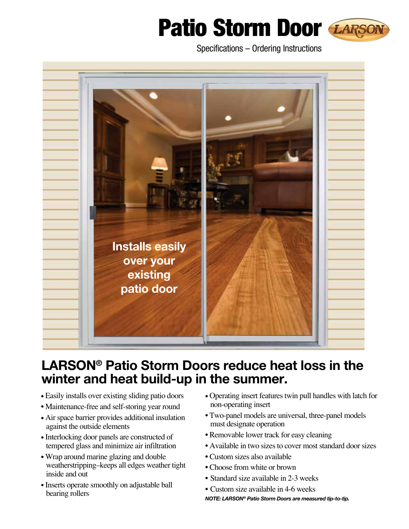## Patio Storm Door LARSON



Specifications – Ordering Instructions



## **Larson® Patio Storm Doors reduce heat loss in the winter and heat build-up in the summer.**

- Easily installs over existing sliding patio doors
- Maintenance-free and self-storing year round
- Air space barrier provides additional insulation against the outside elements
- Interlocking door panels are constructed of tempered glass and minimize air infiltration
- Wrap around marine glazing and double weatherstripping–keeps all edges weather tight inside and out
- Inserts operate smoothly on adjustable ball bearing rollers
- Operating insert features twin pull handles with latch for non-operating insert
- Two-panel models are universal, three-panel models must designate operation
- Removable lower track for easy cleaning
- Available in two sizes to cover most standard door sizes
- Custom sizes also available
- Choose from white or brown
- Standard size available in 2-3 weeks
- Custom size available in 4-6 weeks

*NOTE: Larson® Patio Storm Doors are measured tip-to-tip.*